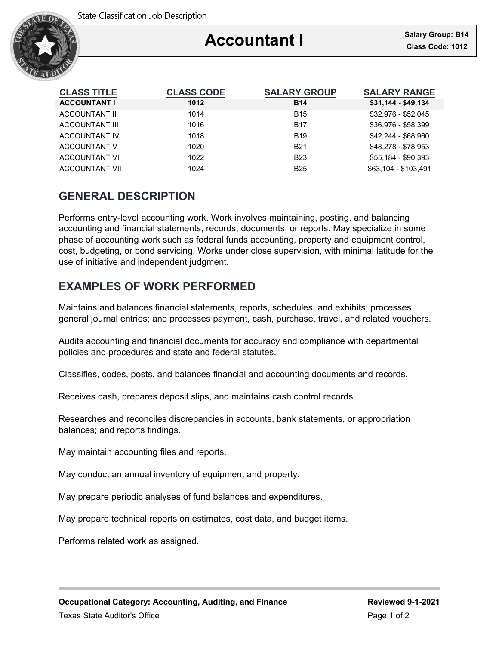

| <b>CLASS TITLE</b>    | <b>CLASS CODE</b> | <b>SALARY GROUP</b> | <b>SALARY RANGE</b>  |
|-----------------------|-------------------|---------------------|----------------------|
| <b>ACCOUNTANT I</b>   | 1012              | <b>B14</b>          | $$31,144 - $49,134$  |
| ACCOUNTANT II         | 1014              | <b>B15</b>          | \$32,976 - \$52,045  |
| <b>ACCOUNTANT III</b> | 1016              | <b>B17</b>          | \$36.976 - \$58.399  |
| <b>ACCOUNTANT IV</b>  | 1018              | <b>B19</b>          | \$42.244 - \$68.960  |
| ACCOUNTANT V          | 1020              | <b>B21</b>          | \$48.278 - \$78.953  |
| <b>ACCOUNTANT VI</b>  | 1022              | <b>B23</b>          | \$55.184 - \$90.393  |
| <b>ACCOUNTANT VII</b> | 1024              | <b>B25</b>          | \$63,104 - \$103,491 |

### **GENERAL DESCRIPTION**

Performs entry-level accounting work. Work involves maintaining, posting, and balancing accounting and financial statements, records, documents, or reports. May specialize in some phase of accounting work such as federal funds accounting, property and equipment control, cost, budgeting, or bond servicing. Works under close supervision, with minimal latitude for the use of initiative and independent judgment.

## **EXAMPLES OF WORK PERFORMED**

Maintains and balances financial statements, reports, schedules, and exhibits; processes general journal entries; and processes payment, cash, purchase, travel, and related vouchers.

Audits accounting and financial documents for accuracy and compliance with departmental policies and procedures and state and federal statutes.

Classifies, codes, posts, and balances financial and accounting documents and records.

Receives cash, prepares deposit slips, and maintains cash control records.

Researches and reconciles discrepancies in accounts, bank statements, or appropriation balances; and reports findings.

May maintain accounting files and reports.

May conduct an annual inventory of equipment and property.

May prepare periodic analyses of fund balances and expenditures.

May prepare technical reports on estimates, cost data, and budget items.

Performs related work as assigned.